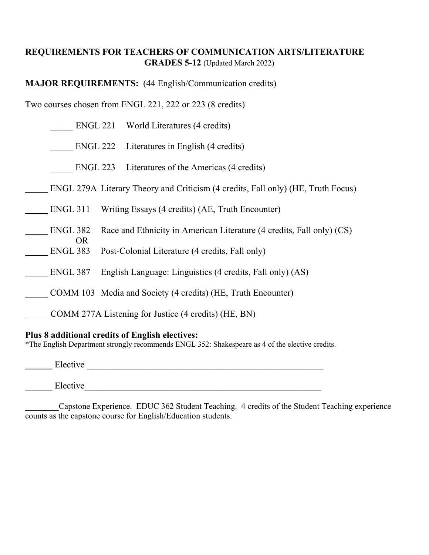## **REQUIREMENTS FOR TEACHERS OF COMMUNICATION ARTS/LITERATURE GRADES 5-12** (Updated March 2022)

**MAJOR REQUIREMENTS:** (44 English/Communication credits)

Two courses chosen from ENGL 221, 222 or 223 (8 credits)

| ENGL 221 World Literatures (4 credits)                                            |  |
|-----------------------------------------------------------------------------------|--|
| ENGL 222 Literatures in English (4 credits)                                       |  |
| Literatures of the Americas (4 credits)<br>ENGL 223                               |  |
| ENGL 279A Literary Theory and Criticism (4 credits, Fall only) (HE, Truth Focus)  |  |
| <b>ENGL 311</b><br>Writing Essays (4 credits) (AE, Truth Encounter)               |  |
| ENGL 382<br>Race and Ethnicity in American Literature (4 credits, Fall only) (CS) |  |
| OR.<br><b>ENGL 383</b><br>Post-Colonial Literature (4 credits, Fall only)         |  |
| ENGL 387<br>English Language: Linguistics (4 credits, Fall only) (AS)             |  |
| COMM 103 Media and Society (4 credits) (HE, Truth Encounter)                      |  |
| COMM 277A Listening for Justice (4 credits) (HE, BN)                              |  |
|                                                                                   |  |

## **Plus 8 additional credits of English electives:**

\*The English Department strongly recommends ENGL 352: Shakespeare as 4 of the elective credits.

**\_\_\_\_\_\_** Elective \_\_\_\_\_\_\_\_\_\_\_\_\_\_\_\_\_\_\_\_\_\_\_\_\_\_\_\_\_\_\_\_\_\_\_\_\_\_\_\_\_\_\_\_\_\_\_\_\_\_\_\_

\_\_\_\_\_\_ Elective\_\_\_\_\_\_\_\_\_\_\_\_\_\_\_\_\_\_\_\_\_\_\_\_\_\_\_\_\_\_\_\_\_\_\_\_\_\_\_\_\_\_\_\_\_\_\_\_\_\_\_\_

Capstone Experience. EDUC 362 Student Teaching. 4 credits of the Student Teaching experience counts as the capstone course for English/Education students.